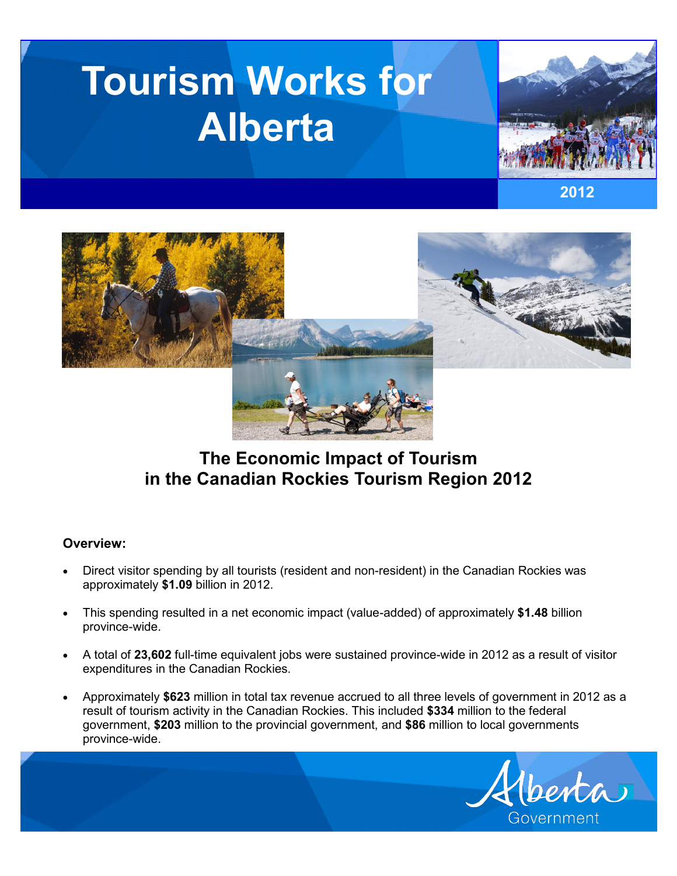# **Tourism Works for Alberta**







# **The Economic Impact of Tourism in the Canadian Rockies Tourism Region 2012**

## **Overview:**

- Direct visitor spending by all tourists (resident and non-resident) in the Canadian Rockies was approximately **\$1.09** billion in 2012.
- This spending resulted in a net economic impact (value-added) of approximately **\$1.48** billion province-wide.
- A total of **23,602** full-time equivalent jobs were sustained province-wide in 2012 as a result of visitor expenditures in the Canadian Rockies.
- Approximately **\$623** million in total tax revenue accrued to all three levels of government in 2012 as a result of tourism activity in the Canadian Rockies. This included **\$334** million to the federal government, **\$203** million to the provincial government, and **\$86** million to local governments province-wide.

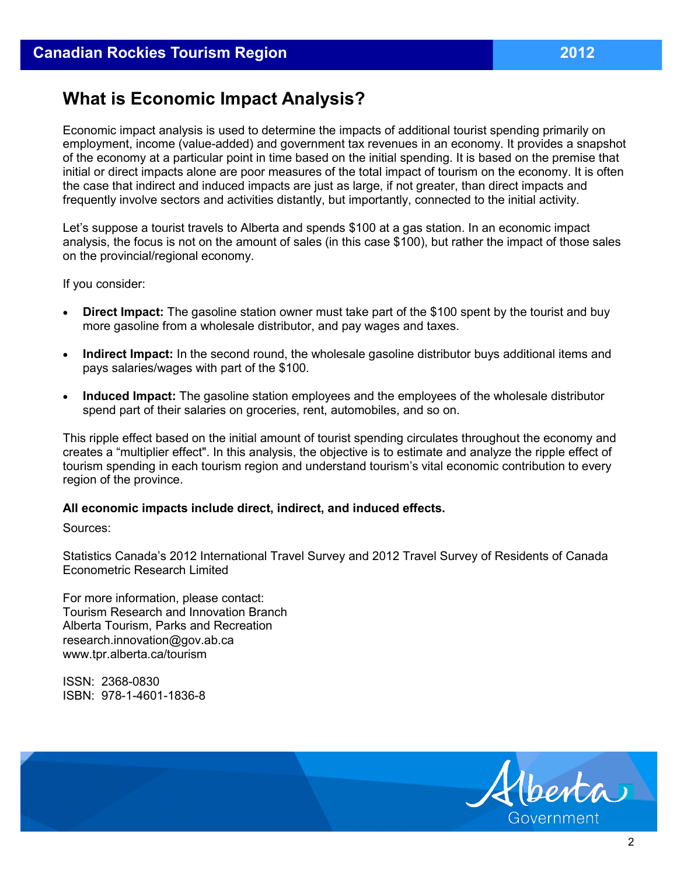# **What is Economic Impact Analysis?**

Economic impact analysis is used to determine the impacts of additional tourist spending primarily on employment, income (value-added) and government tax revenues in an economy. It provides a snapshot of the economy at a particular point in time based on the initial spending. It is based on the premise that initial or direct impacts alone are poor measures of the total impact of tourism on the economy. It is often the case that indirect and induced impacts are just as large, if not greater, than direct impacts and frequently involve sectors and activities distantly, but importantly, connected to the initial activity.

Let's suppose a tourist travels to Alberta and spends \$100 at a gas station. In an economic impact analysis, the focus is not on the amount of sales (in this case \$100), but rather the impact of those sales on the provincial/regional economy.

If you consider:

- **Direct Impact:** The gasoline station owner must take part of the \$100 spent by the tourist and buy more gasoline from a wholesale distributor, and pay wages and taxes.
- **Indirect Impact:** In the second round, the wholesale gasoline distributor buys additional items and pays salaries/wages with part of the \$100.
- **Induced Impact:** The gasoline station employees and the employees of the wholesale distributor spend part of their salaries on groceries, rent, automobiles, and so on.

This ripple effect based on the initial amount of tourist spending circulates throughout the economy and creates a "multiplier effect". In this analysis, the objective is to estimate and analyze the ripple effect of tourism spending in each tourism region and understand tourism's vital economic contribution to every region of the province.

#### **All economic impacts include direct, indirect, and induced effects.**

Sources:

Statistics Canada's 2012 International Travel Survey and 2012 Travel Survey of Residents of Canada Econometric Research Limited

For more information, please contact: Tourism Research and Innovation Branch Alberta Tourism, Parks and Recreation research.innovation@gov.ab.ca www.tpr.alberta.ca/tourism

ISSN: 2368-0830 ISBN: 978-1-4601-1836-8

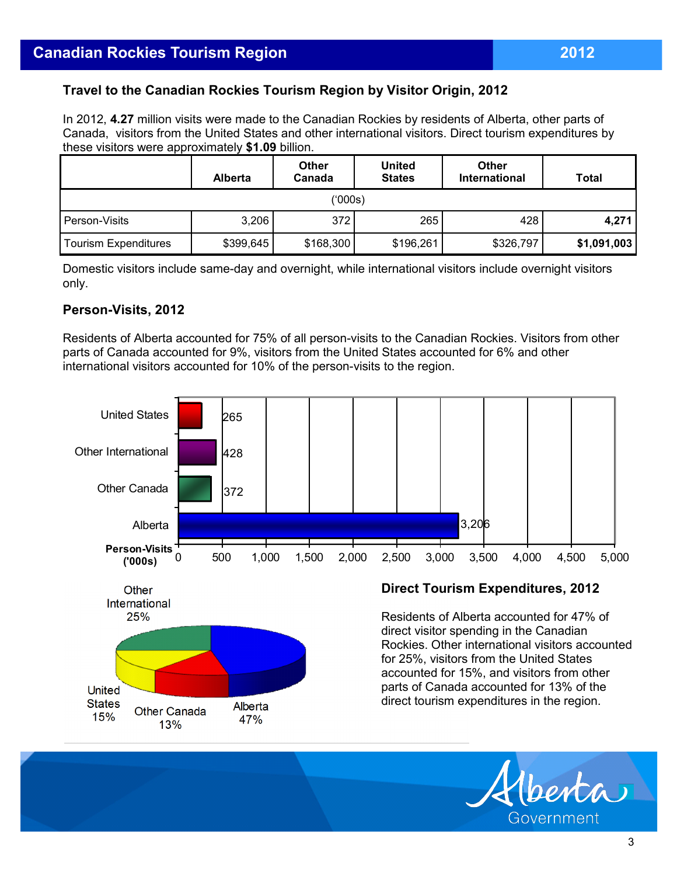# **Travel to the Canadian Rockies Tourism Region by Visitor Origin, 2012**

In 2012, **4.27** million visits were made to the Canadian Rockies by residents of Alberta, other parts of Canada, visitors from the United States and other international visitors. Direct tourism expenditures by these visitors were approximately **\$1.09** billion.

|                      | <b>Alberta</b> | <b>Other</b><br>Canada | <b>United</b><br><b>States</b> | <b>Other</b><br>International | <b>Total</b> |  |  |  |
|----------------------|----------------|------------------------|--------------------------------|-------------------------------|--------------|--|--|--|
| ('000s)              |                |                        |                                |                               |              |  |  |  |
| Person-Visits        | 3,206          | 372                    | 265                            | 428                           | 4,271        |  |  |  |
| Tourism Expenditures | \$399,645      | \$168,300              | \$196,261                      | \$326,797                     | \$1,091,003  |  |  |  |

Domestic visitors include same-day and overnight, while international visitors include overnight visitors only.

### **Person-Visits, 2012**

Residents of Alberta accounted for 75% of all person-visits to the Canadian Rockies. Visitors from other parts of Canada accounted for 9%, visitors from the United States accounted for 6% and other international visitors accounted for 10% of the person-visits to the region.